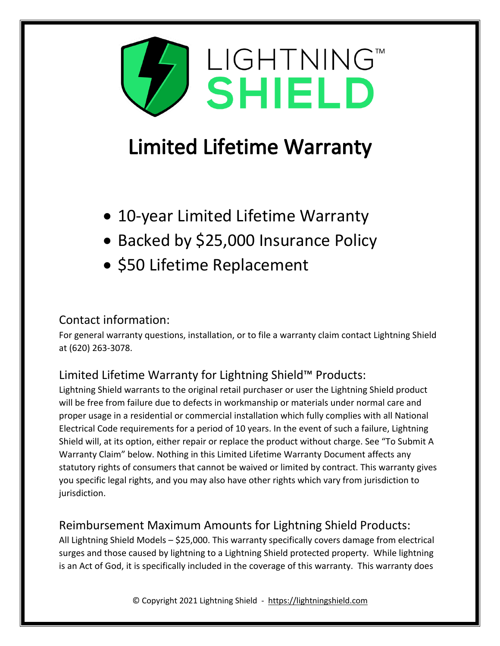

# **Limited Lifetime Warranty**

- 10-year Limited Lifetime Warranty
- Backed by \$25,000 Insurance Policy
- \$50 Lifetime Replacement

## Contact information:

For general warranty questions, installation, or to file a warranty claim contact Lightning Shield at (620) 263-3078.

## Limited Lifetime Warranty for Lightning Shield™ Products:

Lightning Shield warrants to the original retail purchaser or user the Lightning Shield product will be free from failure due to defects in workmanship or materials under normal care and proper usage in a residential or commercial installation which fully complies with all National Electrical Code requirements for a period of 10 years. In the event of such a failure, Lightning Shield will, at its option, either repair or replace the product without charge. See "To Submit A Warranty Claim" below. Nothing in this Limited Lifetime Warranty Document affects any statutory rights of consumers that cannot be waived or limited by contract. This warranty gives you specific legal rights, and you may also have other rights which vary from jurisdiction to jurisdiction.

## Reimbursement Maximum Amounts for Lightning Shield Products:

All Lightning Shield Models – \$25,000. This warranty specifically covers damage from electrical surges and those caused by lightning to a Lightning Shield protected property. While lightning is an Act of God, it is specifically included in the coverage of this warranty. This warranty does

© Copyright 2021 Lightning Shield - https://lightningshield.com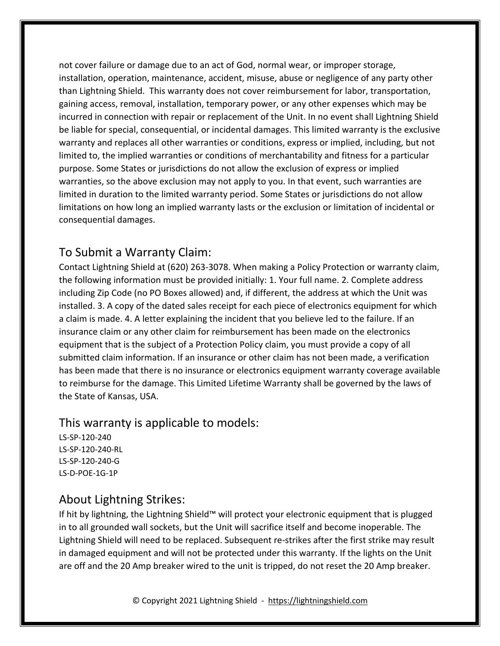not cover failure or damage due to an act of God, normal wear, or improper storage, installation, operation, maintenance, accident, misuse, abuse or negligence of any party other than Lightning Shield. This warranty does not cover reimbursement for labor, transportation, gaining access, removal, installation, temporary power, or any other expenses which may be incurred in connection with repair or replacement of the Unit. In no event shall Lightning Shield be liable for special, consequential, or incidental damages. This limited warranty is the exclusive warranty and replaces all other warranties or conditions, express or implied, including, but not limited to, the implied warranties or conditions of merchantability and fitness for a particular purpose. Some States or jurisdictions do not allow the exclusion of express or implied warranties, so the above exclusion may not apply to you. In that event, such warranties are limited in duration to the limited warranty period. Some States or jurisdictions do not allow limitations on how long an implied warranty lasts or the exclusion or limitation of incidental or consequential damages.

#### To Submit a Warranty Claim:

Contact Lightning Shield at (620) 263-3078. When making a Policy Protection or warranty claim, the following information must be provided initially: 1. Your full name. 2. Complete address including Zip Code (no PO Boxes allowed) and, if different, the address at which the Unit was installed. 3. A copy of the dated sales receipt for each piece of electronics equipment for which a claim is made. 4. A letter explaining the incident that you believe led to the failure. If an insurance claim or any other claim for reimbursement has been made on the electronics equipment that is the subject of a Protection Policy claim, you must provide a copy of all submitted claim information. If an insurance or other claim has not been made, a verification has been made that there is no insurance or electronics equipment warranty coverage available to reimburse for the damage. This Limited Lifetime Warranty shall be governed by the laws of the State of Kansas, USA.

#### This warranty is applicable to models:

LS-SP-120-240 LS-SP-120-240-RL LS-SP-120-240-G LS-D-POE-1G-1P

#### About Lightning Strikes:

If hit by lightning, the Lightning Shield™ will protect your electronic equipment that is plugged in to all grounded wall sockets, but the Unit will sacrifice itself and become inoperable. The Lightning Shield will need to be replaced. Subsequent re-strikes after the first strike may result in damaged equipment and will not be protected under this warranty. If the lights on the Unit are off and the 20 Amp breaker wired to the unit is tripped, do not reset the 20 Amp breaker.